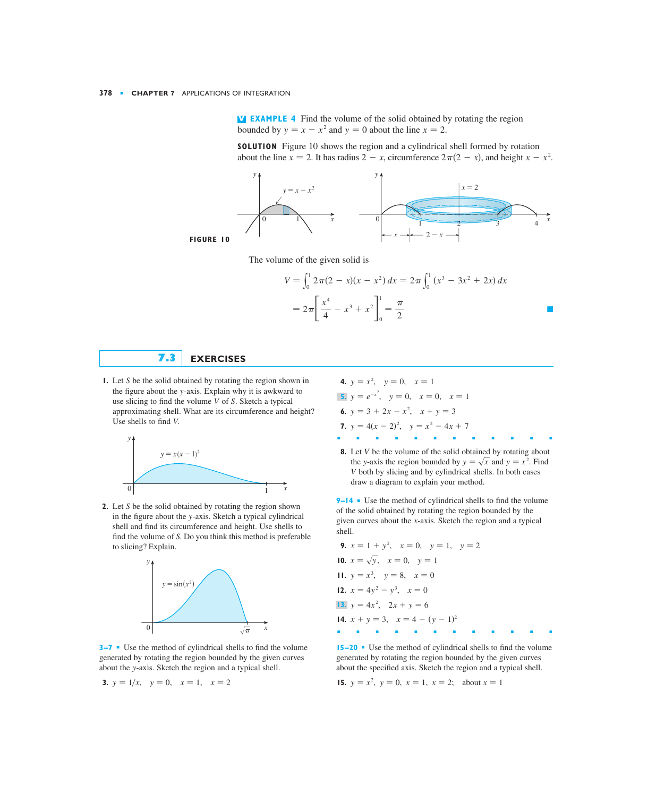**EXAMPLE 4** Find the volume of the solid obtained by rotating the region **V** bounded by  $y = x - x^2$  and  $y = 0$  about the line  $x = 2$ .

**SOLUTION** Figure 10 shows the region and a cylindrical shell formed by rotation about the line  $x = 2$ . It has radius  $2 - x$ , circumference  $2\pi(2 - x)$ , and height  $x - x^2$ .





The volume of the given solid is

$$
V = \int_0^1 2\pi (2 - x)(x - x^2) dx = 2\pi \int_0^1 (x^3 - 3x^2 + 2x) dx
$$
  
=  $2\pi \left[ \frac{x^4}{4} - x^3 + x^2 \right]_0^1 = \frac{\pi}{2}$ 

## **7.3 EXERCISES**

**1.** Let *S* be the solid obtained by rotating the region shown in **4.**  $y = x^2$ ,  $y = 0$ ,  $x = 1$ the figure about the y-axis. Explain why it is awkward to use slicing to find the volume V of S. Sketch a typical approximating shell. What are its circumference and height? Use shells to find V.



**2.** Let S be the solid obtained by rotating the region shown in the figure about the y-axis. Sketch a typical cylindrical shell and find its circumference and height. Use shells to find the volume of S. Do you think this method is preferable to slicing? Explain.



**3–7** ■ Use the method of cylindrical shells to find the volume generated by rotating the region bounded by the given curves about the y-axis. Sketch the region and a typical shell.

**4.** 
$$
y = x^2
$$
,  $y = 0$ ,  $x = 1$   
\n**5.**  $y = e^{-x^2}$ ,  $y = 0$ ,  $x = 0$ ,  $x = 1$   
\n**6.**  $y = 3 + 2x - x^2$ ,  $x + y = 3$   
\n**7.**  $y = 4(x - 2)^2$ ,  $y = x^2 - 4x + 7$ 

**8.** Let *V* be the volume of the solid obtained by rotating about the *y*-axis the region bounded by  $y = \sqrt{x}$  and  $y = x^2$ . Find both by slicing and by cylindrical shells. In both cases *V* draw a diagram to explain your method.

■■■■■■■■■■■■

**9–14** ■ Use the method of cylindrical shells to find the volume of the solid obtained by rotating the region bounded by the given curves about the *x*-axis. Sketch the region and a typical shell.

9. 
$$
x = 1 + y^2
$$
,  $x = 0$ ,  $y = 1$ ,  $y = 2$   
\n10.  $x = \sqrt{y}$ ,  $x = 0$ ,  $y = 1$   
\n11.  $y = x^3$ ,  $y = 8$ ,  $x = 0$   
\n12.  $x = 4y^2 - y^3$ ,  $x = 0$   
\n13.  $y = 4x^2$ ,  $2x + y = 6$   
\n14.  $x + y = 3$ ,  $x = 4 - (y - 1)^2$ 

**15–20** ■ Use the method of cylindrical shells to find the volume generated by rotating the region bounded by the given curves about the specified axis. Sketch the region and a typical shell.

**15.**  $y = x^2$ ,  $y = 0$ ,  $x = 1$ ,  $x = 2$ ; about  $x = 1$ 

3. 
$$
y = 1/x
$$
,  $y = 0$ ,  $x = 1$ ,  $x = 2$